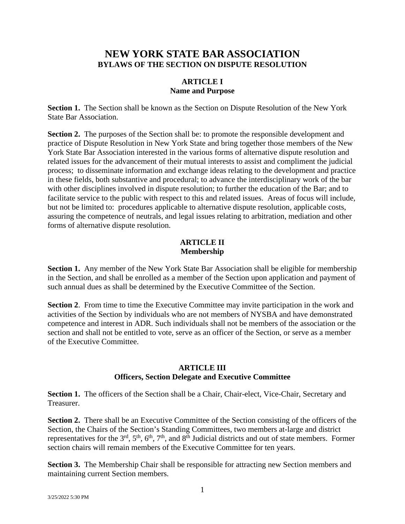# **NEW YORK STATE BAR ASSOCIATION BYLAWS OF THE SECTION ON DISPUTE RESOLUTION**

### **ARTICLE I Name and Purpose**

**Section 1.** The Section shall be known as the Section on Dispute Resolution of the New York State Bar Association.

**Section 2.** The purposes of the Section shall be: to promote the responsible development and practice of Dispute Resolution in New York State and bring together those members of the New York State Bar Association interested in the various forms of alternative dispute resolution and related issues for the advancement of their mutual interests to assist and compliment the judicial process; to disseminate information and exchange ideas relating to the development and practice in these fields, both substantive and procedural; to advance the interdisciplinary work of the bar with other disciplines involved in dispute resolution; to further the education of the Bar; and to facilitate service to the public with respect to this and related issues. Areas of focus will include, but not be limited to: procedures applicable to alternative dispute resolution, applicable costs, assuring the competence of neutrals, and legal issues relating to arbitration, mediation and other forms of alternative dispute resolution.

#### **ARTICLE II Membership**

**Section 1.** Any member of the New York State Bar Association shall be eligible for membership in the Section, and shall be enrolled as a member of the Section upon application and payment of such annual dues as shall be determined by the Executive Committee of the Section.

**Section 2.** From time to time the Executive Committee may invite participation in the work and activities of the Section by individuals who are not members of NYSBA and have demonstrated competence and interest in ADR. Such individuals shall not be members of the association or the section and shall not be entitled to vote, serve as an officer of the Section, or serve as a member of the Executive Committee.

#### **ARTICLE III Officers, Section Delegate and Executive Committee**

**Section 1.** The officers of the Section shall be a Chair, Chair-elect, Vice-Chair, Secretary and Treasurer.

**Section 2.** There shall be an Executive Committee of the Section consisting of the officers of the Section, the Chairs of the Section's Standing Committees, two members at-large and district representatives for the  $3<sup>rd</sup>$ ,  $5<sup>th</sup>$ ,  $6<sup>th</sup>$ ,  $7<sup>th</sup>$ , and  $8<sup>th</sup>$  Judicial districts and out of state members. Former section chairs will remain members of the Executive Committee for ten years.

**Section 3.** The Membership Chair shall be responsible for attracting new Section members and maintaining current Section members.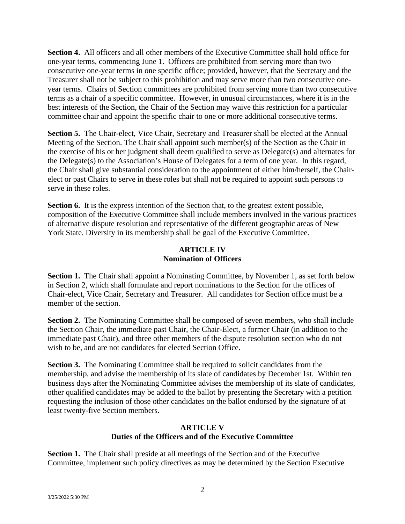**Section 4.** All officers and all other members of the Executive Committee shall hold office for one-year terms, commencing June 1. Officers are prohibited from serving more than two consecutive one-year terms in one specific office; provided, however, that the Secretary and the Treasurer shall not be subject to this prohibition and may serve more than two consecutive oneyear terms. Chairs of Section committees are prohibited from serving more than two consecutive terms as a chair of a specific committee. However, in unusual circumstances, where it is in the best interests of the Section, the Chair of the Section may waive this restriction for a particular committee chair and appoint the specific chair to one or more additional consecutive terms.

**Section 5.** The Chair-elect, Vice Chair, Secretary and Treasurer shall be elected at the Annual Meeting of the Section. The Chair shall appoint such member(s) of the Section as the Chair in the exercise of his or her judgment shall deem qualified to serve as Delegate(s) and alternates for the Delegate(s) to the Association's House of Delegates for a term of one year. In this regard, the Chair shall give substantial consideration to the appointment of either him/herself, the Chairelect or past Chairs to serve in these roles but shall not be required to appoint such persons to serve in these roles.

**Section 6.** It is the express intention of the Section that, to the greatest extent possible, composition of the Executive Committee shall include members involved in the various practices of alternative dispute resolution and representative of the different geographic areas of New York State. Diversity in its membership shall be goal of the Executive Committee.

# **ARTICLE IV Nomination of Officers**

**Section 1.** The Chair shall appoint a Nominating Committee, by November 1, as set forth below in Section 2, which shall formulate and report nominations to the Section for the offices of Chair-elect, Vice Chair, Secretary and Treasurer. All candidates for Section office must be a member of the section.

**Section 2.** The Nominating Committee shall be composed of seven members, who shall include the Section Chair, the immediate past Chair, the Chair-Elect, a former Chair (in addition to the immediate past Chair), and three other members of the dispute resolution section who do not wish to be, and are not candidates for elected Section Office.

**Section 3.** The Nominating Committee shall be required to solicit candidates from the membership, and advise the membership of its slate of candidates by December 1st. Within ten business days after the Nominating Committee advises the membership of its slate of candidates, other qualified candidates may be added to the ballot by presenting the Secretary with a petition requesting the inclusion of those other candidates on the ballot endorsed by the signature of at least twenty-five Section members.

### **ARTICLE V Duties of the Officers and of the Executive Committee**

**Section 1.** The Chair shall preside at all meetings of the Section and of the Executive Committee, implement such policy directives as may be determined by the Section Executive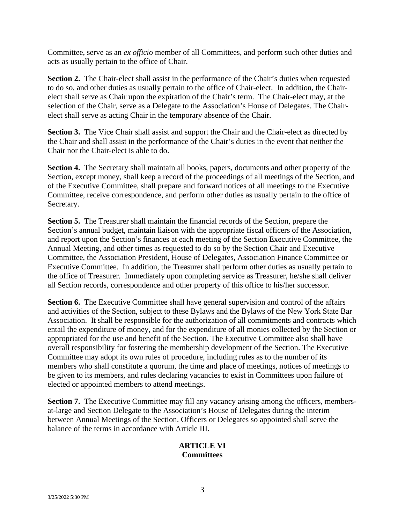Committee, serve as an *ex officio* member of all Committees, and perform such other duties and acts as usually pertain to the office of Chair.

**Section 2.** The Chair-elect shall assist in the performance of the Chair's duties when requested to do so, and other duties as usually pertain to the office of Chair-elect. In addition, the Chairelect shall serve as Chair upon the expiration of the Chair's term. The Chair-elect may, at the selection of the Chair, serve as a Delegate to the Association's House of Delegates. The Chairelect shall serve as acting Chair in the temporary absence of the Chair.

**Section 3.** The Vice Chair shall assist and support the Chair and the Chair-elect as directed by the Chair and shall assist in the performance of the Chair's duties in the event that neither the Chair nor the Chair-elect is able to do.

**Section 4.** The Secretary shall maintain all books, papers, documents and other property of the Section, except money, shall keep a record of the proceedings of all meetings of the Section, and of the Executive Committee, shall prepare and forward notices of all meetings to the Executive Committee, receive correspondence, and perform other duties as usually pertain to the office of Secretary.

**Section 5.** The Treasurer shall maintain the financial records of the Section, prepare the Section's annual budget, maintain liaison with the appropriate fiscal officers of the Association, and report upon the Section's finances at each meeting of the Section Executive Committee, the Annual Meeting, and other times as requested to do so by the Section Chair and Executive Committee, the Association President, House of Delegates, Association Finance Committee or Executive Committee. In addition, the Treasurer shall perform other duties as usually pertain to the office of Treasurer. Immediately upon completing service as Treasurer, he/she shall deliver all Section records, correspondence and other property of this office to his/her successor.

**Section 6.** The Executive Committee shall have general supervision and control of the affairs and activities of the Section, subject to these Bylaws and the Bylaws of the New York State Bar Association. It shall be responsible for the authorization of all commitments and contracts which entail the expenditure of money, and for the expenditure of all monies collected by the Section or appropriated for the use and benefit of the Section. The Executive Committee also shall have overall responsibility for fostering the membership development of the Section. The Executive Committee may adopt its own rules of procedure, including rules as to the number of its members who shall constitute a quorum, the time and place of meetings, notices of meetings to be given to its members, and rules declaring vacancies to exist in Committees upon failure of elected or appointed members to attend meetings.

**Section 7.** The Executive Committee may fill any vacancy arising among the officers, membersat-large and Section Delegate to the Association's House of Delegates during the interim between Annual Meetings of the Section. Officers or Delegates so appointed shall serve the balance of the terms in accordance with Article III.

### **ARTICLE VI Committees**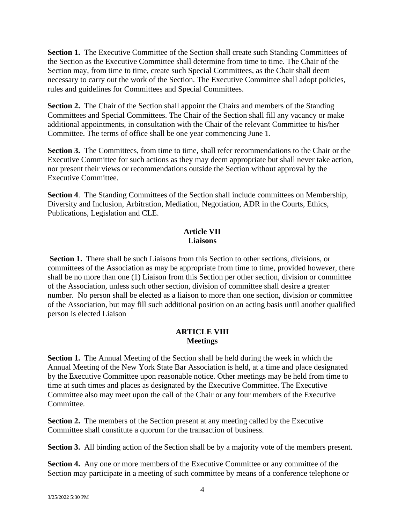**Section 1.** The Executive Committee of the Section shall create such Standing Committees of the Section as the Executive Committee shall determine from time to time. The Chair of the Section may, from time to time, create such Special Committees, as the Chair shall deem necessary to carry out the work of the Section. The Executive Committee shall adopt policies, rules and guidelines for Committees and Special Committees.

**Section 2.** The Chair of the Section shall appoint the Chairs and members of the Standing Committees and Special Committees. The Chair of the Section shall fill any vacancy or make additional appointments, in consultation with the Chair of the relevant Committee to his/her Committee. The terms of office shall be one year commencing June 1.

**Section 3.** The Committees, from time to time, shall refer recommendations to the Chair or the Executive Committee for such actions as they may deem appropriate but shall never take action, nor present their views or recommendations outside the Section without approval by the Executive Committee.

**Section 4**. The Standing Committees of the Section shall include committees on Membership, Diversity and Inclusion, Arbitration, Mediation, Negotiation, ADR in the Courts, Ethics, Publications, Legislation and CLE.

# **Article VII Liaisons**

**Section 1.** There shall be such Liaisons from this Section to other sections, divisions, or committees of the Association as may be appropriate from time to time, provided however, there shall be no more than one (1) Liaison from this Section per other section, division or committee of the Association, unless such other section, division of committee shall desire a greater number. No person shall be elected as a liaison to more than one section, division or committee of the Association, but may fill such additional position on an acting basis until another qualified person is elected Liaison

#### **ARTICLE VIII Meetings**

**Section 1.** The Annual Meeting of the Section shall be held during the week in which the Annual Meeting of the New York State Bar Association is held, at a time and place designated by the Executive Committee upon reasonable notice. Other meetings may be held from time to time at such times and places as designated by the Executive Committee. The Executive Committee also may meet upon the call of the Chair or any four members of the Executive Committee.

**Section 2.** The members of the Section present at any meeting called by the Executive Committee shall constitute a quorum for the transaction of business.

**Section 3.** All binding action of the Section shall be by a majority vote of the members present.

**Section 4.** Any one or more members of the Executive Committee or any committee of the Section may participate in a meeting of such committee by means of a conference telephone or